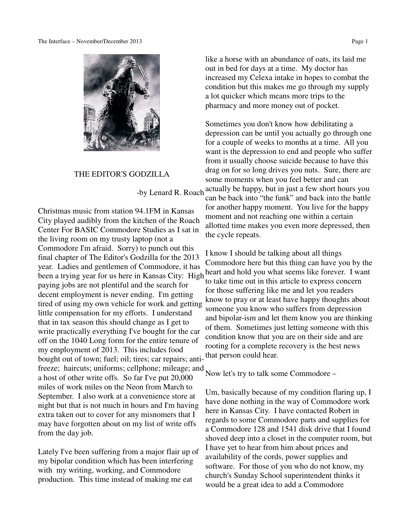

### THE EDITOR'S GODZILLA

Christmas music from station 94.1FM in Kansas City played audibly from the kitchen of the Roach Center For BASIC Commodore Studies as I sat in the living room on my trusty laptop (not a Commodore I'm afraid. Sorry) to punch out this final chapter of The Editor's Godzilla for the 2013 year. Ladies and gentlemen of Commodore, it has been a trying year for us here in Kansas City: High paying jobs are not plentiful and the search for decent employment is never ending. I'm getting tired of using my own vehicle for work and getting little compensation for my efforts. I understand that in tax season this should change as I get to write practically everything I've bought for the car off on the 1040 Long form for the entire tenure of my employment of 2013. This includes food bought out of town; fuel; oil; tires; car repairs; antifreeze; haircuts; uniforms; cellphone; mileage; and a host of other write offs. So far I've put 20,000 miles of work miles on the Neon from March to September. I also work at a convenience store at night but that is not much in hours and I'm having extra taken out to cover for any misnomers that I may have forgotten about on my list of write offs from the day job.

Lately I've been suffering from a major flair up of my bipolar condition which has been interfering with my writing, working, and Commodore production. This time instead of making me eat

like a horse with an abundance of oats, its laid me out in bed for days at a time. My doctor has increased my Celexa intake in hopes to combat the condition but this makes me go through my supply a lot quicker which means more trips to the pharmacy and more money out of pocket.

 -by Lenard R. Roach actually be happy, but in just a few short hours you Sometimes you don't know how debilitating a depression can be until you actually go through one for a couple of weeks to months at a time. All you want is the depression to end and people who suffer from it usually choose suicide because to have this drag on for so long drives you nuts. Sure, there are some moments when you feel better and can can be back into "the funk" and back into the battle for another happy moment. You live for the happy moment and not reaching one within a certain allotted time makes you even more depressed, then the cycle repeats.

> I know I should be talking about all things Commodore here but this thing can have you by the heart and hold you what seems like forever. I want to take time out in this article to express concern for those suffering like me and let you readers know to pray or at least have happy thoughts about someone you know who suffers from depression and bipolar-ism and let them know you are thinking of them. Sometimes just letting someone with this condition know that you are on their side and are rooting for a complete recovery is the best news that person could hear.

Now let's try to talk some Commodore –

Um, basically because of my condition flaring up, I have done nothing in the way of Commodore work here in Kansas City. I have contacted Robert in regards to some Commodore parts and supplies for a Commodore 128 and 1541 disk drive that I found shoved deep into a closet in the computer room, but I have yet to hear from him about prices and availability of the cords, power supplies and software. For those of you who do not know, my church's Sunday School superintendent thinks it would be a great idea to add a Commodore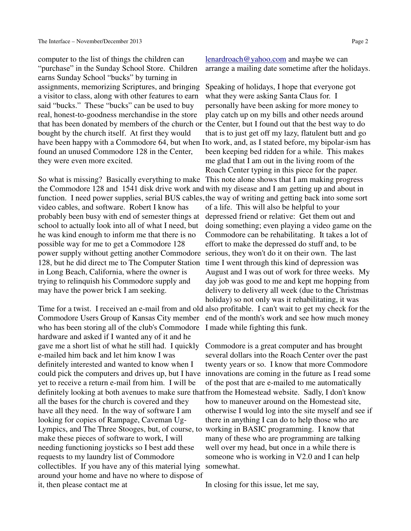computer to the list of things the children can "purchase" in the Sunday School Store. Children earns Sunday School "bucks" by turning in assignments, memorizing Scriptures, and bringing a visitor to class, along with other features to earn said "bucks." These "bucks" can be used to buy real, honest-to-goodness merchandise in the store that has been donated by members of the church or the Center, but I found out that the best way to do bought by the church itself. At first they would found an unused Commodore 128 in the Center, they were even more excited.

So what is missing? Basically everything to make This note alone shows that I am making progress the Commodore 128 and 1541 disk drive work and with my disease and I am getting up and about in video cables, and software. Robert I know has probably been busy with end of semester things at depressed friend or relative: Get them out and school to actually look into all of what I need, but he was kind enough to inform me that there is no possible way for me to get a Commodore 128 power supply without getting another Commodore serious, they won't do it on their own. The last 128, but he did direct me to The Computer Station time I went through this kind of depression was in Long Beach, California, where the owner is trying to relinquish his Commodore supply and may have the power brick I am seeking.

who has been storing all of the club's Commodore I made while fighting this funk. hardware and asked if I wanted any of it and he gave me a short list of what he still had. I quickly e-mailed him back and let him know I was definitely interested and wanted to know when I yet to receive a return e-mail from him. I will be definitely looking at both avenues to make sure that from the Homestead website. Sadly, I don't know all the bases for the church is covered and they have all they need. In the way of software I am looking for copies of Rampage, Caveman Ug-Lympics, and The Three Stooges, but, of course, to working in BASIC programming. I know that make these pieces of software to work, I will needing functioning joysticks so I best add these requests to my laundry list of Commodore collectibles. If you have any of this material lying somewhat. around your home and have no where to dispose of it, then please contact me at

lenardroach@yahoo.com and maybe we can arrange a mailing date sometime after the holidays.

have been happy with a Commodore 64, but when Ito work, and, as I stated before, my bipolar-ism has function. I need power supplies, serial BUS cables, the way of writing and getting back into some sort Time for a twist. I received an e-mail from and old also profitable. I can't wait to get my check for the Commodore Users Group of Kansas City member end of the month's work and see how much money Speaking of holidays, I hope that everyone got what they were asking Santa Claus for. I personally have been asking for more money to play catch up on my bills and other needs around that is to just get off my lazy, flatulent butt and go been keeping bed ridden for a while. This makes me glad that I am out in the living room of the Roach Center typing in this piece for the paper. of a life. This will also be helpful to your doing something; even playing a video game on the Commodore can be rehabilitating. It takes a lot of effort to make the depressed do stuff and, to be August and I was out of work for three weeks. My day job was good to me and kept me hopping from delivery to delivery all week (due to the Christmas holiday) so not only was it rehabilitating, it was

could pick the computers and drives up, but I have innovations are coming in the future as I read some Commodore is a great computer and has brought several dollars into the Roach Center over the past twenty years or so. I know that more Commodore of the post that are e-mailed to me automatically how to maneuver around on the Homestead site, otherwise I would log into the site myself and see if there in anything I can do to help those who are many of these who are programming are talking well over my head, but once in a while there is someone who is working in V2.0 and I can help

In closing for this issue, let me say,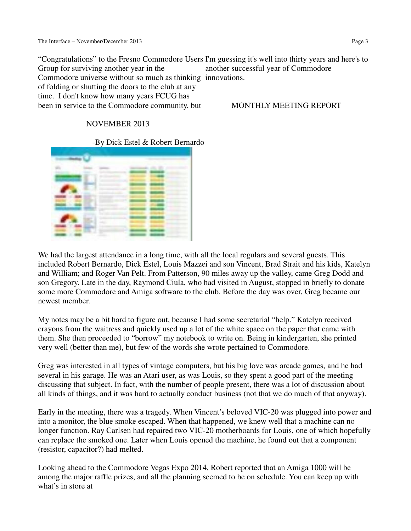"Congratulations" to the Fresno Commodore Users I'm guessing it's well into thirty years and here's to Group for surviving another year in the Commodore universe without so much as thinking innovations. of folding or shutting the doors to the club at any time. I don't know how many years FCUG has been in service to the Commodore community, but another successful year of Commodore MONTHLY MEETING REPORT

# NOVEMBER 2013

# -By Dick Estel & Robert Bernardo



We had the largest attendance in a long time, with all the local regulars and several guests. This included Robert Bernardo, Dick Estel, Louis Mazzei and son Vincent, Brad Strait and his kids, Katelyn and William; and Roger Van Pelt. From Patterson, 90 miles away up the valley, came Greg Dodd and son Gregory. Late in the day, Raymond Ciula, who had visited in August, stopped in briefly to donate some more Commodore and Amiga software to the club. Before the day was over, Greg became our newest member.

My notes may be a bit hard to figure out, because I had some secretarial "help." Katelyn received crayons from the waitress and quickly used up a lot of the white space on the paper that came with them. She then proceeded to "borrow" my notebook to write on. Being in kindergarten, she printed very well (better than me), but few of the words she wrote pertained to Commodore.

Greg was interested in all types of vintage computers, but his big love was arcade games, and he had several in his garage. He was an Atari user, as was Louis, so they spent a good part of the meeting discussing that subject. In fact, with the number of people present, there was a lot of discussion about all kinds of things, and it was hard to actually conduct business (not that we do much of that anyway).

Early in the meeting, there was a tragedy. When Vincent's beloved VIC-20 was plugged into power and into a monitor, the blue smoke escaped. When that happened, we knew well that a machine can no longer function. Ray Carlsen had repaired two VIC-20 motherboards for Louis, one of which hopefully can replace the smoked one. Later when Louis opened the machine, he found out that a component (resistor, capacitor?) had melted.

Looking ahead to the Commodore Vegas Expo 2014, Robert reported that an Amiga 1000 will be among the major raffle prizes, and all the planning seemed to be on schedule. You can keep up with what's in store at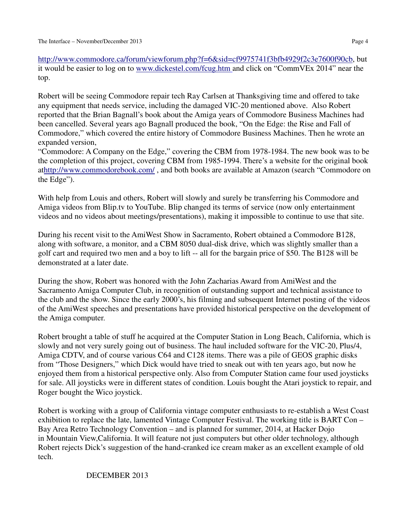http://www.commodore.ca/forum/viewforum.php?f=6&sid=cf9975741f3bfb4929f2c3e7600f90cb, but it would be easier to log on to www.dickestel.com/fcug.htm and click on "CommVEx 2014" near the top.

Robert will be seeing Commodore repair tech Ray Carlsen at Thanksgiving time and offered to take any equipment that needs service, including the damaged VIC-20 mentioned above. Also Robert reported that the Brian Bagnall's book about the Amiga years of Commodore Business Machines had been cancelled. Several years ago Bagnall produced the book, "On the Edge: the Rise and Fall of Commodore," which covered the entire history of Commodore Business Machines. Then he wrote an expanded version,

"Commodore: A Company on the Edge," covering the CBM from 1978-1984. The new book was to be the completion of this project, covering CBM from 1985-1994. There's a website for the original book athttp://www.commodorebook.com/ , and both books are available at Amazon (search "Commodore on the Edge").

With help from Louis and others, Robert will slowly and surely be transferring his Commodore and Amiga videos from Blip.tv to YouTube. Blip changed its terms of service (now only entertainment videos and no videos about meetings/presentations), making it impossible to continue to use that site.

During his recent visit to the AmiWest Show in Sacramento, Robert obtained a Commodore B128, along with software, a monitor, and a CBM 8050 dual-disk drive, which was slightly smaller than a golf cart and required two men and a boy to lift -- all for the bargain price of \$50. The B128 will be demonstrated at a later date.

During the show, Robert was honored with the John Zacharias Award from AmiWest and the Sacramento Amiga Computer Club, in recognition of outstanding support and technical assistance to the club and the show. Since the early 2000's, his filming and subsequent Internet posting of the videos of the AmiWest speeches and presentations have provided historical perspective on the development of the Amiga computer.

Robert brought a table of stuff he acquired at the Computer Station in Long Beach, California, which is slowly and not very surely going out of business. The haul included software for the VIC-20, Plus/4, Amiga CDTV, and of course various C64 and C128 items. There was a pile of GEOS graphic disks from "Those Designers," which Dick would have tried to sneak out with ten years ago, but now he enjoyed them from a historical perspective only. Also from Computer Station came four used joysticks for sale. All joysticks were in different states of condition. Louis bought the Atari joystick to repair, and Roger bought the Wico joystick.

Robert is working with a group of California vintage computer enthusiasts to re-establish a West Coast exhibition to replace the late, lamented Vintage Computer Festival. The working title is BART Con – Bay Area Retro Technology Convention – and is planned for summer, 2014, at Hacker Dojo in Mountain View,California. It will feature not just computers but other older technology, although Robert rejects Dick's suggestion of the hand-cranked ice cream maker as an excellent example of old tech.

# DECEMBER 2013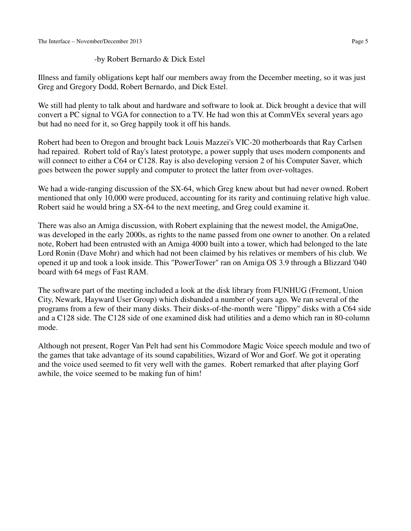# -by Robert Bernardo & Dick Estel

Illness and family obligations kept half our members away from the December meeting, so it was just Greg and Gregory Dodd, Robert Bernardo, and Dick Estel.

We still had plenty to talk about and hardware and software to look at. Dick brought a device that will convert a PC signal to VGA for connection to a TV. He had won this at CommVEx several years ago but had no need for it, so Greg happily took it off his hands.

Robert had been to Oregon and brought back Louis Mazzei's VIC-20 motherboards that Ray Carlsen had repaired. Robert told of Ray's latest prototype, a power supply that uses modern components and will connect to either a C64 or C128. Ray is also developing version 2 of his Computer Saver, which goes between the power supply and computer to protect the latter from over-voltages.

We had a wide-ranging discussion of the SX-64, which Greg knew about but had never owned. Robert mentioned that only 10,000 were produced, accounting for its rarity and continuing relative high value. Robert said he would bring a SX-64 to the next meeting, and Greg could examine it.

There was also an Amiga discussion, with Robert explaining that the newest model, the AmigaOne, was developed in the early 2000s, as rights to the name passed from one owner to another. On a related note, Robert had been entrusted with an Amiga 4000 built into a tower, which had belonged to the late Lord Ronin (Dave Mohr) and which had not been claimed by his relatives or members of his club. We opened it up and took a look inside. This "PowerTower" ran on Amiga OS 3.9 through a Blizzard '040 board with 64 megs of Fast RAM.

The software part of the meeting included a look at the disk library from FUNHUG (Fremont, Union City, Newark, Hayward User Group) which disbanded a number of years ago. We ran several of the programs from a few of their many disks. Their disks-of-the-month were "flippy" disks with a C64 side and a C128 side. The C128 side of one examined disk had utilities and a demo which ran in 80-column mode.

Although not present, Roger Van Pelt had sent his Commodore Magic Voice speech module and two of the games that take advantage of its sound capabilities, Wizard of Wor and Gorf. We got it operating and the voice used seemed to fit very well with the games. Robert remarked that after playing Gorf awhile, the voice seemed to be making fun of him!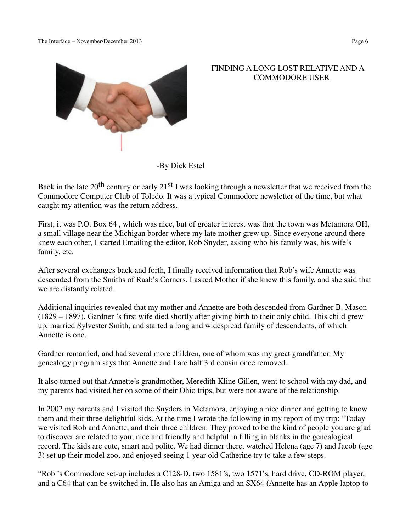

 FINDING A LONG LOST RELATIVE AND A COMMODORE USER

-By Dick Estel

Back in the late  $20^{th}$  century or early  $21^{st}$  I was looking through a newsletter that we received from the Commodore Computer Club of Toledo. It was a typical Commodore newsletter of the time, but what caught my attention was the return address.

First, it was P.O. Box 64 , which was nice, but of greater interest was that the town was Metamora OH, a small village near the Michigan border where my late mother grew up. Since everyone around there knew each other, I started Emailing the editor, Rob Snyder, asking who his family was, his wife's family, etc.

After several exchanges back and forth, I finally received information that Rob's wife Annette was descended from the Smiths of Raab's Corners. I asked Mother if she knew this family, and she said that we are distantly related.

Additional inquiries revealed that my mother and Annette are both descended from Gardner B. Mason (1829 – 1897). Gardner 's first wife died shortly after giving birth to their only child. This child grew up, married Sylvester Smith, and started a long and widespread family of descendents, of which Annette is one.

Gardner remarried, and had several more children, one of whom was my great grandfather. My genealogy program says that Annette and I are half 3rd cousin once removed.

It also turned out that Annette's grandmother, Meredith Kline Gillen, went to school with my dad, and my parents had visited her on some of their Ohio trips, but were not aware of the relationship.

In 2002 my parents and I visited the Snyders in Metamora, enjoying a nice dinner and getting to know them and their three delightful kids. At the time I wrote the following in my report of my trip: "Today we visited Rob and Annette, and their three children. They proved to be the kind of people you are glad to discover are related to you; nice and friendly and helpful in filling in blanks in the genealogical record. The kids are cute, smart and polite. We had dinner there, watched Helena (age 7) and Jacob (age 3) set up their model zoo, and enjoyed seeing 1 year old Catherine try to take a few steps.

"Rob 's Commodore set-up includes a C128-D, two 1581's, two 1571's, hard drive, CD-ROM player, and a C64 that can be switched in. He also has an Amiga and an SX64 (Annette has an Apple laptop to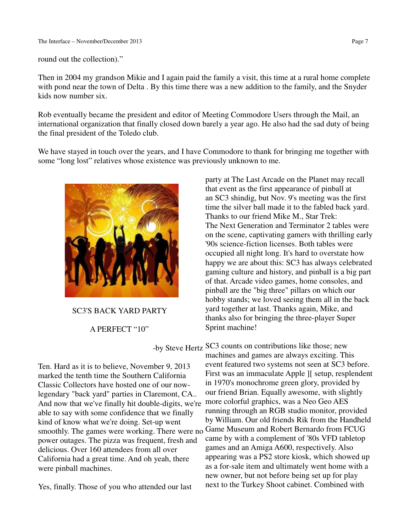round out the collection)."

Then in 2004 my grandson Mikie and I again paid the family a visit, this time at a rural home complete with pond near the town of Delta . By this time there was a new addition to the family, and the Snyder kids now number six.

Rob eventually became the president and editor of Meeting Commodore Users through the Mail, an international organization that finally closed down barely a year ago. He also had the sad duty of being the final president of the Toledo club.

We have stayed in touch over the years, and I have Commodore to thank for bringing me together with some "long lost" relatives whose existence was previously unknown to me.



SC3'S BACK YARD PARTY

A PERFECT "10"

Ten. Hard as it is to believe, November 9, 2013 marked the tenth time the Southern California Classic Collectors have hosted one of our nowlegendary "back yard" parties in Claremont, CA.. And now that we've finally hit double-digits, we're able to say with some confidence that we finally kind of know what we're doing. Set-up went power outages. The pizza was frequent, fresh and delicious. Over 160 attendees from all over California had a great time. And oh yeah, there were pinball machines.

Yes, finally. Those of you who attended our last

party at The Last Arcade on the Planet may recall that event as the first appearance of pinball at an SC3 shindig, but Nov. 9's meeting was the first time the silver ball made it to the fabled back yard. Thanks to our friend Mike M., Star Trek: The Next Generation and Terminator 2 tables were on the scene, captivating gamers with thrilling early '90s science-fiction licenses. Both tables were occupied all night long. It's hard to overstate how happy we are about this: SC3 has always celebrated gaming culture and history, and pinball is a big part of that. Arcade video games, home consoles, and pinball are the "big three" pillars on which our hobby stands; we loved seeing them all in the back yard together at last. Thanks again, Mike, and thanks also for bringing the three-player Super Sprint machine!

 -by Steve Hertz SC3 counts on contributions like those; new smoothly. The games were working. There were no Game Museum and Robert Bernardo from FCUG machines and games are always exciting. This event featured two systems not seen at SC3 before. First was an immaculate Apple ][ setup, resplendent in 1970's monochrome green glory, provided by our friend Brian. Equally awesome, with slightly more colorful graphics, was a Neo Geo AES running through an RGB studio monitor, provided by William. Our old friends Rik from the Handheld came by with a complement of '80s VFD tabletop games and an Amiga A600, respectively. Also appearing was a PS2 store kiosk, which showed up as a for-sale item and ultimately went home with a new owner, but not before being set up for play next to the Turkey Shoot cabinet. Combined with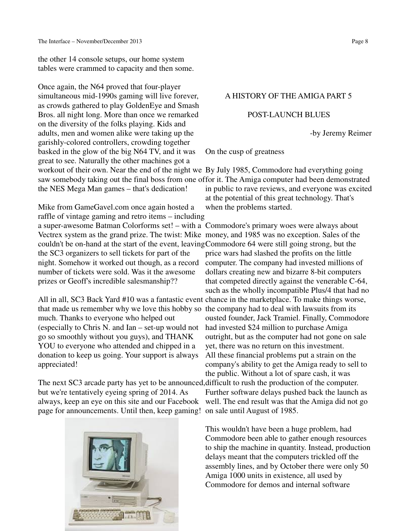the other 14 console setups, our home system tables were crammed to capacity and then some.

Once again, the N64 proved that four-player simultaneous mid-1990s gaming will live forever, as crowds gathered to play GoldenEye and Smash Bros. all night long. More than once we remarked on the diversity of the folks playing. Kids and adults, men and women alike were taking up the garishly-colored controllers, crowding together basked in the glow of the big N64 TV, and it was great to see. Naturally the other machines got a workout of their own. Near the end of the night we By July 1985, Commodore had everything going the NES Mega Man games – that's dedication!

Mike from GameGavel.com once again hosted a raffle of vintage gaming and retro items – including a super-awesome Batman Colorforms set! – with a Commodore's primary woes were always about Vectrex system as the grand prize. The twist: Mike money, and 1985 was no exception. Sales of the couldn't be on-hand at the start of the event, leaving Commodore 64 were still going strong, but the the SC3 organizers to sell tickets for part of the night. Somehow it worked out though, as a record number of tickets were sold. Was it the awesome prizes or Geoff's incredible salesmanship??

All in all, SC3 Back Yard #10 was a fantastic event chance in the marketplace. To make things worse, that made us remember why we love this hobby so the company had to deal with lawsuits from its much. Thanks to everyone who helped out (especially to Chris N. and Ian – set-up would not go so smoothly without you guys), and THANK YOU to everyone who attended and chipped in a donation to keep us going. Your support is always appreciated!

The next SC3 arcade party has yet to be announced, difficult to rush the production of the computer. but we're tentatively eyeing spring of 2014. As always, keep an eye on this site and our Facebook page for announcements. Until then, keep gaming! on sale until August of 1985.





# A HISTORY OF THE AMIGA PART 5

## POST-LAUNCH BLUES

-by Jeremy Reimer

On the cusp of greatness

saw somebody taking out the final boss from one offor it. The Amiga computer had been demonstrated in public to rave reviews, and everyone was excited at the potential of this great technology. That's when the problems started.

> price wars had slashed the profits on the little computer. The company had invested millions of dollars creating new and bizarre 8-bit computers that competed directly against the venerable C-64, such as the wholly incompatible Plus/4 that had no ousted founder, Jack Tramiel. Finally, Commodore had invested \$24 million to purchase Amiga outright, but as the computer had not gone on sale yet, there was no return on this investment. All these financial problems put a strain on the company's ability to get the Amiga ready to sell to the public. Without a lot of spare cash, it was Further software delays pushed back the launch as well. The end result was that the Amiga did not go

This wouldn't have been a huge problem, had Commodore been able to gather enough resources to ship the machine in quantity. Instead, production delays meant that the computers trickled off the assembly lines, and by October there were only 50 Amiga 1000 units in existence, all used by Commodore for demos and internal software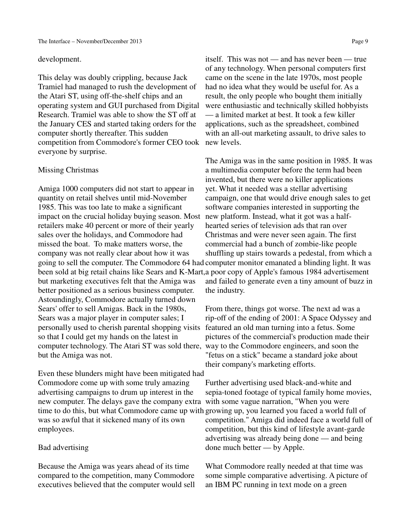### development.

This delay was doubly crippling, because Jack Tramiel had managed to rush the development of the Atari ST, using off-the-shelf chips and an operating system and GUI purchased from Digital Research. Tramiel was able to show the ST off at the January CES and started taking orders for the computer shortly thereafter. This sudden competition from Commodore's former CEO took new levels. everyone by surprise.

## Missing Christmas

Amiga 1000 computers did not start to appear in quantity on retail shelves until mid-November 1985. This was too late to make a significant impact on the crucial holiday buying season. Most new platform. Instead, what it got was a halfretailers make 40 percent or more of their yearly sales over the holidays, and Commodore had missed the boat. To make matters worse, the company was not really clear about how it was but marketing executives felt that the Amiga was better positioned as a serious business computer. Astoundingly, Commodore actually turned down Sears' offer to sell Amigas. Back in the 1980s, Sears was a major player in computer sales; I personally used to cherish parental shopping visits so that I could get my hands on the latest in computer technology. The Atari ST was sold there, way to the Commodore engineers, and soon the but the Amiga was not.

Even these blunders might have been mitigated had Commodore come up with some truly amazing advertising campaigns to drum up interest in the new computer. The delays gave the company extra time to do this, but what Commodore came up with growing up, you learned you faced a world full of was so awful that it sickened many of its own employees.

## Bad advertising

Because the Amiga was years ahead of its time compared to the competition, many Commodore executives believed that the computer would sell

itself. This was not — and has never been — true of any technology. When personal computers first came on the scene in the late 1970s, most people had no idea what they would be useful for. As a result, the only people who bought them initially were enthusiastic and technically skilled hobbyists — a limited market at best. It took a few killer applications, such as the spreadsheet, combined with an all-out marketing assault, to drive sales to

going to sell the computer. The Commodore 64 had computer monitor emanated a blinding light. It was been sold at big retail chains like Sears and K-Mart, a poor copy of Apple's famous 1984 advertisement The Amiga was in the same position in 1985. It was a multimedia computer before the term had been invented, but there were no killer applications yet. What it needed was a stellar advertising campaign, one that would drive enough sales to get software companies interested in supporting the hearted series of television ads that ran over Christmas and were never seen again. The first commercial had a bunch of zombie-like people shuffling up stairs towards a pedestal, from which a and failed to generate even a tiny amount of buzz in the industry.

> From there, things got worse. The next ad was a rip-off of the ending of 2001: A Space Odyssey and featured an old man turning into a fetus. Some pictures of the commercial's production made their "fetus on a stick" became a standard joke about their company's marketing efforts.

> Further advertising used black-and-white and sepia-toned footage of typical family home movies, with some vague narration, "When you were competition." Amiga did indeed face a world full of competition, but this kind of lifestyle avant-garde advertising was already being done — and being done much better — by Apple.

What Commodore really needed at that time was some simple comparative advertising. A picture of an IBM PC running in text mode on a green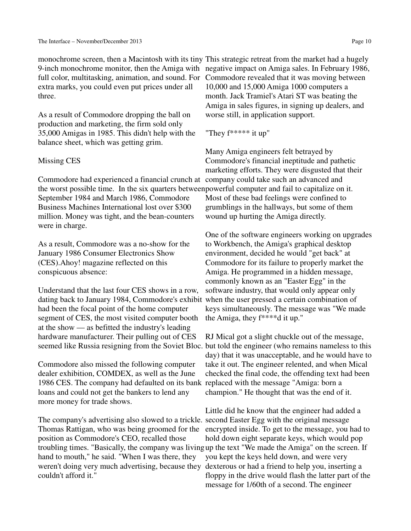full color, multitasking, animation, and sound. For Commodore revealed that it was moving between extra marks, you could even put prices under all three.

As a result of Commodore dropping the ball on production and marketing, the firm sold only 35,000 Amigas in 1985. This didn't help with the balance sheet, which was getting grim.

## Missing CES

Commodore had experienced a financial crunch at company could take such an advanced and the worst possible time. In the six quarters between powerful computer and fail to capitalize on it. September 1984 and March 1986, Commodore Business Machines International lost over \$300 million. Money was tight, and the bean-counters were in charge.

As a result, Commodore was a no-show for the January 1986 Consumer Electronics Show (CES).Ahoy! magazine reflected on this conspicuous absence:

Understand that the last four CES shows in a row, dating back to January 1984, Commodore's exhibit when the user pressed a certain combination of had been the focal point of the home computer segment of CES, the most visited computer booth at the show — as befitted the industry's leading hardware manufacturer. Their pulling out of CES

Commodore also missed the following computer dealer exhibition, COMDEX, as well as the June 1986 CES. The company had defaulted on its bank replaced with the message "Amiga: born a loans and could not get the bankers to lend any more money for trade shows.

The company's advertising also slowed to a trickle. second Easter Egg with the original message Thomas Rattigan, who was being groomed for the position as Commodore's CEO, recalled those troubling times. "Basically, the company was living up the text "We made the Amiga" on the screen. If hand to mouth," he said. "When I was there, they weren't doing very much advertising, because they couldn't afford it."

monochrome screen, then a Macintosh with its tiny This strategic retreat from the market had a hugely 9-inch monochrome monitor, then the Amiga with negative impact on Amiga sales. In February 1986, 10,000 and 15,000 Amiga 1000 computers a month. Jack Tramiel's Atari ST was beating the Amiga in sales figures, in signing up dealers, and worse still, in application support.

"They f\*\*\*\*\* it up"

Many Amiga engineers felt betrayed by Commodore's financial ineptitude and pathetic marketing efforts. They were disgusted that their Most of these bad feelings were confined to grumblings in the hallways, but some of them wound up hurting the Amiga directly.

One of the software engineers working on upgrades to Workbench, the Amiga's graphical desktop environment, decided he would "get back" at Commodore for its failure to properly market the Amiga. He programmed in a hidden message, commonly known as an "Easter Egg" in the software industry, that would only appear only keys simultaneously. The message was "We made the Amiga, they f\*\*\*\*d it up."

seemed like Russia resigning from the Soviet Bloc. but told the engineer (who remains nameless to this RJ Mical got a slight chuckle out of the message, day) that it was unacceptable, and he would have to take it out. The engineer relented, and when Mical checked the final code, the offending text had been champion." He thought that was the end of it.

> Little did he know that the engineer had added a encrypted inside. To get to the message, you had to hold down eight separate keys, which would pop you kept the keys held down, and were very dexterous or had a friend to help you, inserting a floppy in the drive would flash the latter part of the message for 1/60th of a second. The engineer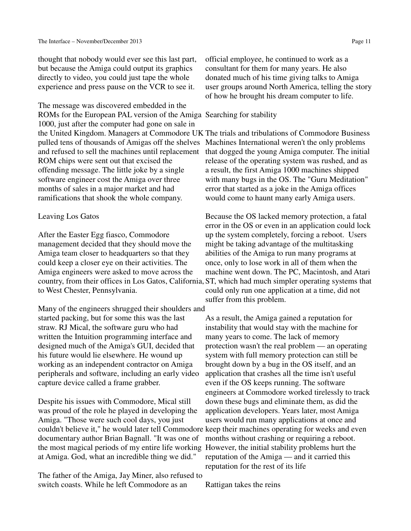thought that nobody would ever see this last part, but because the Amiga could output its graphics directly to video, you could just tape the whole experience and press pause on the VCR to see it.

The message was discovered embedded in the ROMs for the European PAL version of the Amiga Searching for stability 1000, just after the computer had gone on sale in and refused to sell the machines until replacement ROM chips were sent out that excised the offending message. The little joke by a single software engineer cost the Amiga over three months of sales in a major market and had ramifications that shook the whole company.

## Leaving Los Gatos

After the Easter Egg fiasco, Commodore management decided that they should move the Amiga team closer to headquarters so that they could keep a closer eye on their activities. The Amiga engineers were asked to move across the to West Chester, Pennsylvania.

Many of the engineers shrugged their shoulders and started packing, but for some this was the last straw. RJ Mical, the software guru who had written the Intuition programming interface and designed much of the Amiga's GUI, decided that his future would lie elsewhere. He wound up working as an independent contractor on Amiga peripherals and software, including an early video capture device called a frame grabber.

Despite his issues with Commodore, Mical still was proud of the role he played in developing the Amiga. "Those were such cool days, you just documentary author Brian Bagnall. "It was one of the most magical periods of my entire life working However, the initial stability problems hurt the at Amiga. God, what an incredible thing we did."

The father of the Amiga, Jay Miner, also refused to switch coasts. While he left Commodore as an

official employee, he continued to work as a consultant for them for many years. He also donated much of his time giving talks to Amiga user groups around North America, telling the story of how he brought his dream computer to life.

the United Kingdom. Managers at Commodore UK The trials and tribulations of Commodore Business pulled tens of thousands of Amigas off the shelves Machines International weren't the only problems that dogged the young Amiga computer. The initial release of the operating system was rushed, and as a result, the first Amiga 1000 machines shipped with many bugs in the OS. The "Guru Meditation" error that started as a joke in the Amiga offices would come to haunt many early Amiga users.

country, from their offices in Los Gatos, California, ST, which had much simpler operating systems that Because the OS lacked memory protection, a fatal error in the OS or even in an application could lock up the system completely, forcing a reboot. Users might be taking advantage of the multitasking abilities of the Amiga to run many programs at once, only to lose work in all of them when the machine went down. The PC, Macintosh, and Atari could only run one application at a time, did not suffer from this problem.

couldn't believe it," he would later tell Commodore keep their machines operating for weeks and even As a result, the Amiga gained a reputation for instability that would stay with the machine for many years to come. The lack of memory protection wasn't the real problem — an operating system with full memory protection can still be brought down by a bug in the OS itself, and an application that crashes all the time isn't useful even if the OS keeps running. The software engineers at Commodore worked tirelessly to track down these bugs and eliminate them, as did the application developers. Years later, most Amiga users would run many applications at once and months without crashing or requiring a reboot. reputation of the Amiga — and it carried this reputation for the rest of its life

Rattigan takes the reins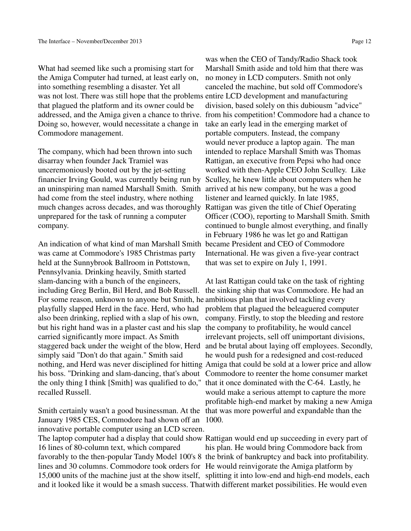What had seemed like such a promising start for the Amiga Computer had turned, at least early on, into something resembling a disaster. Yet all was not lost. There was still hope that the problems entire LCD development and manufacturing that plagued the platform and its owner could be Doing so, however, would necessitate a change in Commodore management.

The company, which had been thrown into such disarray when founder Jack Tramiel was unceremoniously booted out by the jet-setting financier Irving Gould, was currently being run by an uninspiring man named Marshall Smith. Smith arrived at his new company, but he was a good had come from the steel industry, where nothing much changes across decades, and was thoroughly Rattigan was given the title of Chief Operating unprepared for the task of running a computer company.

An indication of what kind of man Marshall Smith became President and CEO of Commodore was came at Commodore's 1985 Christmas party held at the Sunnybrook Ballroom in Pottstown, Pennsylvania. Drinking heavily, Smith started slam-dancing with a bunch of the engineers, including Greg Berlin, Bil Herd, and Bob Russell. For some reason, unknown to anyone but Smith, he ambitious plan that involved tackling every playfully slapped Herd in the face. Herd, who had also been drinking, replied with a slap of his own, but his right hand was in a plaster cast and his slap the company to profitability, he would cancel carried significantly more impact. As Smith staggered back under the weight of the blow, Herd simply said "Don't do that again." Smith said the only thing I think [Smith] was qualified to do," that it once dominated with the C-64. Lastly, he recalled Russell.

January 1985 CES, Commodore had shown off an 1000. innovative portable computer using an LCD screen. The laptop computer had a display that could show Rattigan would end up succeeding in every part of 16 lines of 80-column text, which compared favorably to the then-popular Tandy Model 100's 8 the brink of bankruptcy and back into profitability. lines and 30 columns. Commodore took orders for He would reinvigorate the Amiga platform by 15,000 units of the machine just at the show itself, splitting it into low-end and high-end models, each

addressed, and the Amiga given a chance to thrive. from his competition! Commodore had a chance to was when the CEO of Tandy/Radio Shack took Marshall Smith aside and told him that there was no money in LCD computers. Smith not only canceled the machine, but sold off Commodore's division, based solely on this dubiousm "advice" take an early lead in the emerging market of portable computers. Instead, the company would never produce a laptop again. The man intended to replace Marshall Smith was Thomas Rattigan, an executive from Pepsi who had once worked with then-Apple CEO John Sculley. Like Sculley, he knew little about computers when he listener and learned quickly. In late 1985, Officer (COO), reporting to Marshall Smith. Smith continued to bungle almost everything, and finally in February 1986 he was let go and Rattigan International. He was given a five-year contract that was set to expire on July 1, 1991.

nothing, and Herd was never disciplined for hitting Amiga that could be sold at a lower price and allow his boss. "Drinking and slam-dancing, that's about Commodore to reenter the home consumer market Smith certainly wasn't a good businessman. At the that was more powerful and expandable than the At last Rattigan could take on the task of righting the sinking ship that was Commodore. He had an problem that plagued the beleaguered computer company. Firstly, to stop the bleeding and restore irrelevant projects, sell off unimportant divisions, and be brutal about laying off employees. Secondly, he would push for a redesigned and cost-reduced would make a serious attempt to capture the more profitable high-end market by making a new Amiga

and it looked like it would be a smash success. That with different market possibilities. He would even his plan. He would bring Commodore back from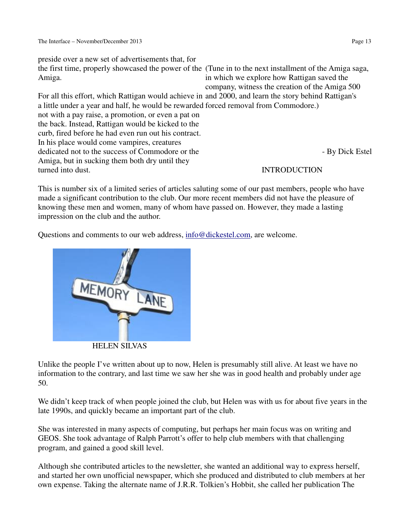preside over a new set of advertisements that, for the first time, properly showcased the power of the (Tune in to the next installment of the Amiga saga, Amiga. For all this effort, which Rattigan would achieve in and 2000, and learn the story behind Rattigan's a little under a year and half, he would be rewarded forced removal from Commodore.) not with a pay raise, a promotion, or even a pat on the back. Instead, Rattigan would be kicked to the curb, fired before he had even run out his contract. In his place would come vampires, creatures dedicated not to the success of Commodore or the Amiga, but in sucking them both dry until they turned into dust. in which we explore how Rattigan saved the company, witness the creation of the Amiga 500 - By Dick Estel INTRODUCTION

This is number six of a limited series of articles saluting some of our past members, people who have made a significant contribution to the club. Our more recent members did not have the pleasure of knowing these men and women, many of whom have passed on. However, they made a lasting impression on the club and the author.

Questions and comments to our web address, info@dickestel.com, are welcome.



Unlike the people I've written about up to now, Helen is presumably still alive. At least we have no information to the contrary, and last time we saw her she was in good health and probably under age 50.

We didn't keep track of when people joined the club, but Helen was with us for about five years in the late 1990s, and quickly became an important part of the club.

She was interested in many aspects of computing, but perhaps her main focus was on writing and GEOS. She took advantage of Ralph Parrott's offer to help club members with that challenging program, and gained a good skill level.

Although she contributed articles to the newsletter, she wanted an additional way to express herself, and started her own unofficial newspaper, which she produced and distributed to club members at her own expense. Taking the alternate name of J.R.R. Tolkien's Hobbit, she called her publication The